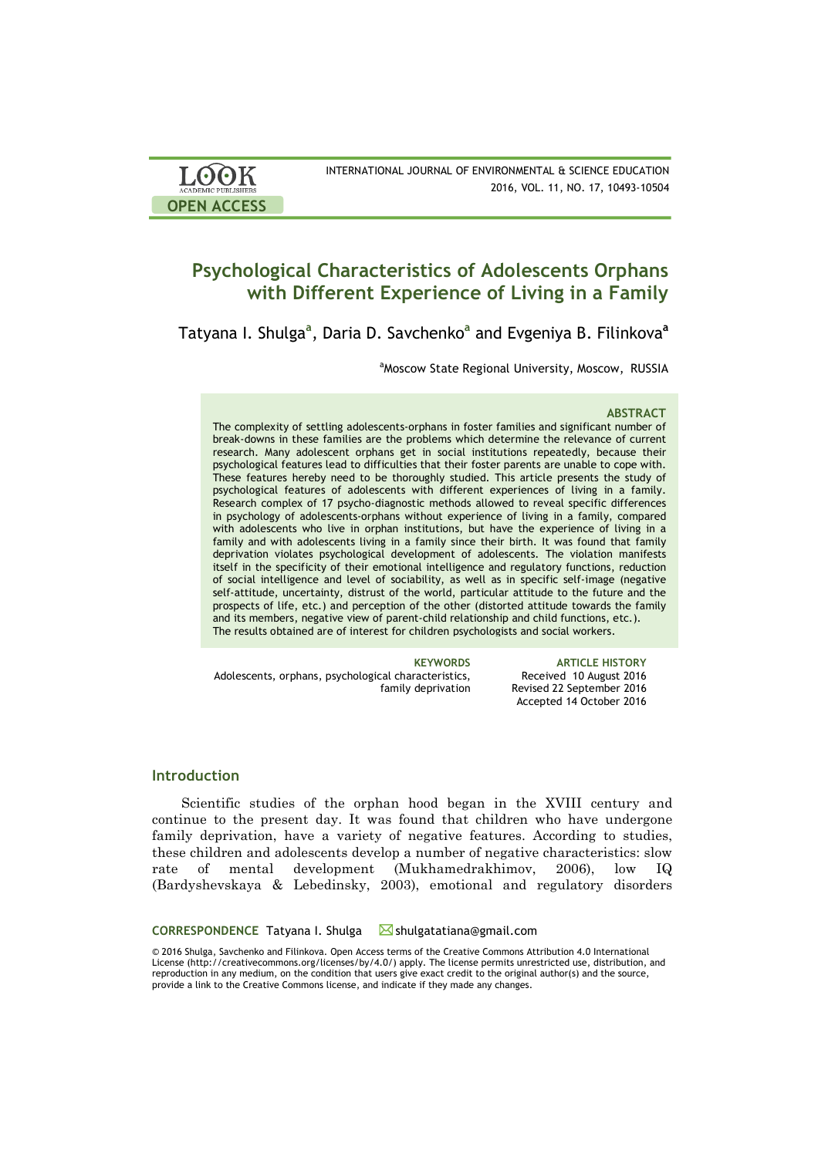| <b>LOOK</b>         | INTERNATIONAL JOURNAL OF ENVIRONMENTAL & SCIENCE EDUCATION |
|---------------------|------------------------------------------------------------|
| ACADEMIC PUBLISHERS | 2016, VOL. 11, NO. 17, 10493-10504                         |
| <b>OPEN ACCESS</b>  |                                                            |

# **Psychological Characteristics of Adolescents Orphans with Different Experience of Living in a Family**

Tatyana I. Shulga**<sup>a</sup>** , Daria D. Savchenko**<sup>a</sup>** and Evgeniya B. Filinkova**<sup>a</sup>**

<sup>a</sup>Moscow State Regional University, Moscow, RUSSIA

#### **ABSTRACT**

The complexity of settling adolescents-orphans in foster families and significant number of break-downs in these families are the problems which determine the relevance of current research. Many adolescent orphans get in social institutions repeatedly, because their psychological features lead to difficulties that their foster parents are unable to cope with. These features hereby need to be thoroughly studied. This article presents the study of psychological features of adolescents with different experiences of living in a family. Research complex of 17 psycho-diagnostic methods allowed to reveal specific differences in psychology of adolescents-orphans without experience of living in a family, compared with adolescents who live in orphan institutions, but have the experience of living in a family and with adolescents living in a family since their birth. It was found that family deprivation violates psychological development of adolescents. The violation manifests itself in the specificity of their emotional intelligence and regulatory functions, reduction of social intelligence and level of sociability, as well as in specific self-image (negative self-attitude, uncertainty, distrust of the world, particular attitude to the future and the prospects of life, etc.) and perception of the other (distorted attitude towards the family and its members, negative view of parent-child relationship and child functions, etc.). The results obtained are of interest for children psychologists and social workers.

Adolescents, orphans, psychological characteristics, family deprivation

**KEYWORDS ARTICLE HISTORY** Received 10 August 2016 Revised 22 September 2016 Accepted 14 October 2016

# **Introduction**

Scientific studies of the orphan hood began in the XVIII century and continue to the present day. It was found that children who have undergone family deprivation, have a variety of negative features. According to studies, these children and adolescents develop a number of negative characteristics: slow rate of mental development (Mukhamedrakhimov, 2006), low IQ (Bardyshevskaya & Lebedinsky, 2003), emotional and regulatory disorders

#### **CORRESPONDENCE** Tatyana I. Shulga **Shulgatatiana@gmail.com**

© 2016 Shulga, Savchenko and Filinkova. Open Access terms of the Creative Commons Attribution 4.0 International License (http://creativecommons.org/licenses/by/4.0/) apply. The license permits unrestricted use, distribution, and reproduction in any medium, on the condition that users give exact credit to the original author(s) and the source, provide a link to the Creative Commons license, and indicate if they made any changes.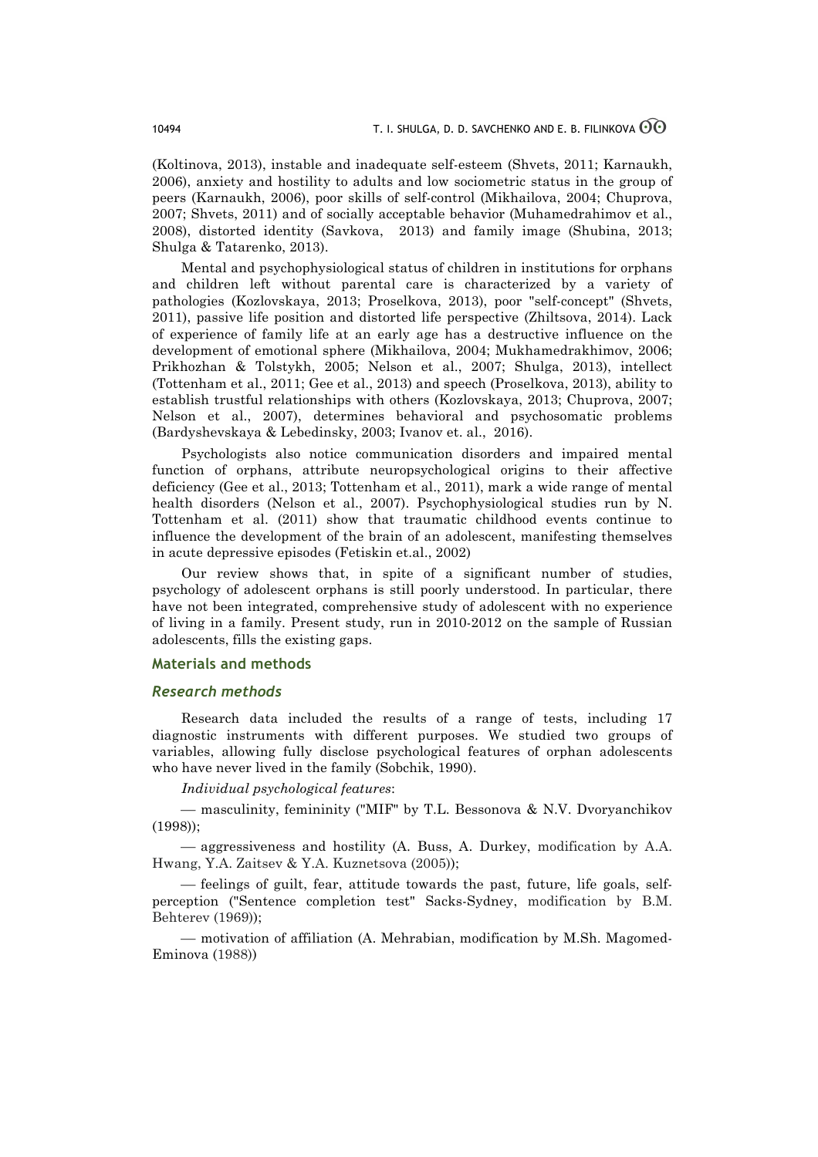(Koltinova, 2013), instable and inadequate self-esteem (Shvets, 2011; Karnaukh, 2006), anxiety and hostility to adults and low sociometric status in the group of peers (Karnaukh, 2006), poor skills of self-control (Mikhailova, 2004; Chuprova, 2007; Shvets, 2011) and of socially acceptable behavior (Muhamedrahimov et al., 2008), distorted identity (Savkova, 2013) and family image (Shubina, 2013; Shulga & Tatarenko, 2013).

Mental and psychophysiological status of children in institutions for orphans and children left without parental care is characterized by a variety of pathologies (Kozlovskaya, 2013; Proselkova, 2013), poor "self-concept" (Shvets, 2011), passive life position and distorted life perspective (Zhiltsova, 2014). Lack of experience of family life at an early age has a destructive influence on the development of emotional sphere (Mikhailova, 2004; Mukhamedrakhimov, 2006; Prikhozhan & Tolstykh, 2005; Nelson et al., 2007; Shulga, 2013), intellect (Tottenham et al., 2011; Gee et al., 2013) and speech (Proselkova, 2013), ability to establish trustful relationships with others (Kozlovskaya, 2013; Chuprova, 2007; Nelson et al., 2007), determines behavioral and psychosomatic problems (Bardyshevskaya & Lebedinsky, 2003; Ivanov et. al., 2016).

Psychologists also notice communication disorders and impaired mental function of orphans, attribute neuropsychological origins to their affective deficiency (Gee et al., 2013; Tottenham et al., 2011), mark a wide range of mental health disorders (Nelson et al., 2007). Psychophysiological studies run by N. Tottenham et al. (2011) show that traumatic childhood events continue to influence the development of the brain of an adolescent, manifesting themselves in acute depressive episodes (Fetiskin et.al., 2002)

Our review shows that, in spite of a significant number of studies, psychology of adolescent orphans is still poorly understood. In particular, there have not been integrated, comprehensive study of adolescent with no experience of living in a family. Present study, run in 2010-2012 on the sample of Russian adolescents, fills the existing gaps.

## **Materials and methods**

#### *Research methods*

Research data included the results of a range of tests, including 17 diagnostic instruments with different purposes. We studied two groups of variables, allowing fully disclose psychological features of orphan adolescents who have never lived in the family (Sobchik, 1990).

*Individual psychological features*:

¾ masculinity, femininity ("MIF" by T.L. Bessonova & N.V. Dvoryanchikov (1998));

¾ aggressiveness and hostility (A. Buss, A. Durkey, modification by A.A. Hwang, Y.A. Zaitsev & Y.A. Kuznetsova (2005));

¾ feelings of guilt, fear, attitude towards the past, future, life goals, selfperception ("Sentence completion test" Sacks-Sydney, modification by B.M. Behterev (1969));

– motivation of affiliation (A. Mehrabian, modification by M.Sh. Magomed-Eminova (1988))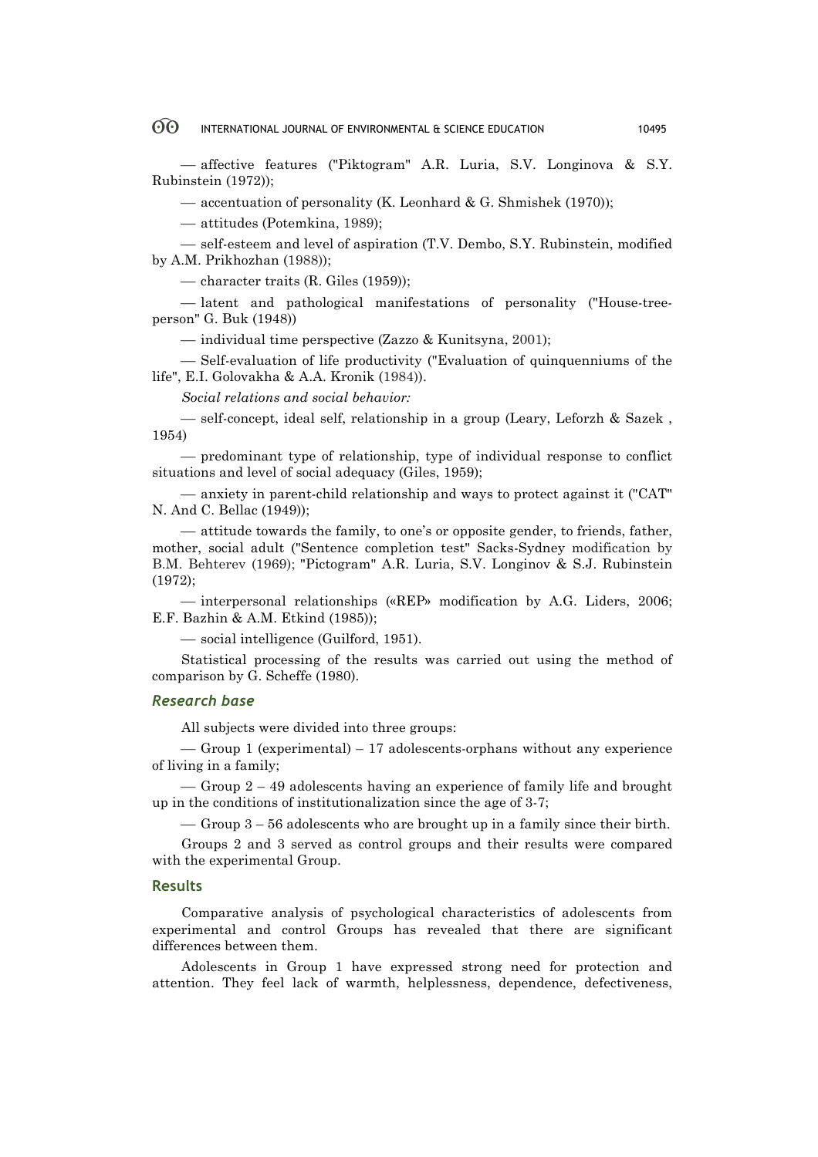¾ affective features ("Piktogram" A.R. Luria, S.V. Longinova & S.Y. Rubinstein (1972));

¾ accentuation of personality (K. Leonhard & G. Shmishek (1970));

¾ attitudes (Potemkina, 1989);

— self-esteem and level of aspiration (T.V. Dembo, S.Y. Rubinstein, modified by A.M. Prikhozhan (1988));

 $-$  character traits (R. Giles (1959));

¾ latent and pathological manifestations of personality ("House-treeperson" G. Buk (1948))

— individual time perspective (Zazzo & Kunitsyna, 2001);

¾ Self-evaluation of life productivity ("Evaluation of quinquenniums of the life", E.I. Golovakha & A.A. Kronik (1984)).

*Social relations and social behavior:*

— self-concept, ideal self, relationship in a group (Leary, Leforzh & Sazek, 1954)

¾ predominant type of relationship, type of individual response to conflict situations and level of social adequacy (Giles, 1959);

¾ anxiety in parent-child relationship and ways to protect against it ("CAT" N. And C. Bellac (1949));

¾ attitude towards the family, to one's or opposite gender, to friends, father, mother, social adult ("Sentence completion test" Sacks-Sydney modification by B.M. Behterev (1969); "Pictogram" A.R. Luria, S.V. Longinov & S.J. Rubinstein (1972);

¾ interpersonal relationships («REP» modification by A.G. Liders, 2006; E.F. Bazhin & A.M. Etkind (1985));

— social intelligence (Guilford, 1951).

Statistical processing of the results was carried out using the method of comparison by G. Scheffe (1980).

# *Research base*

All subjects were divided into three groups:

 $\sim$  Group 1 (experimental) – 17 adolescents-orphans without any experience of living in a family;

 $-$  Group  $2 - 49$  adolescents having an experience of family life and brought up in the conditions of institutionalization since the age of 3-7;

 $\sim$  Group 3 – 56 adolescents who are brought up in a family since their birth.

Groups 2 and 3 served as control groups and their results were compared with the experimental Group.

#### **Results**

Comparative analysis of psychological characteristics of adolescents from experimental and control Groups has revealed that there are significant differences between them.

Adolescents in Group 1 have expressed strong need for protection and attention. They feel lack of warmth, helplessness, dependence, defectiveness,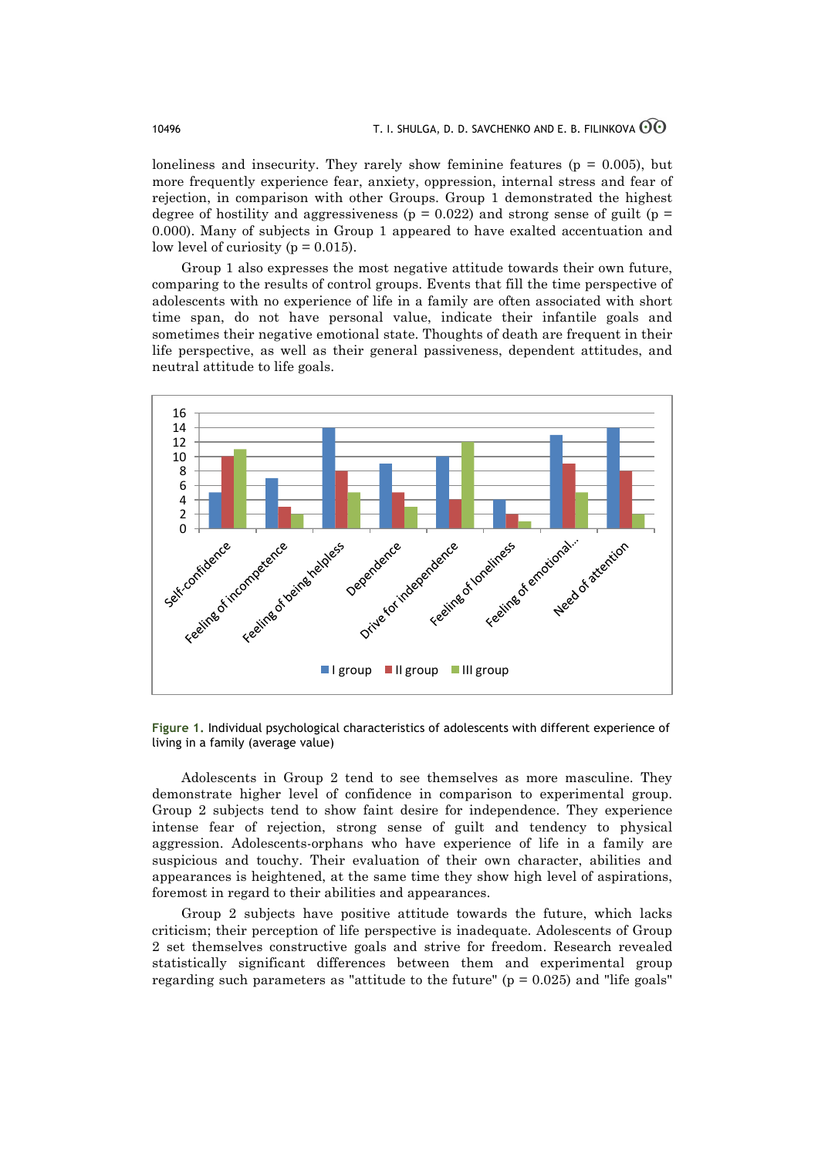loneliness and insecurity. They rarely show feminine features ( $p = 0.005$ ), but more frequently experience fear, anxiety, oppression, internal stress and fear of rejection, in comparison with other Groups. Group 1 demonstrated the highest degree of hostility and aggressiveness ( $p = 0.022$ ) and strong sense of guilt ( $p =$ 0.000). Many of subjects in Group 1 appeared to have exalted accentuation and low level of curiosity ( $p = 0.015$ ).

Group 1 also expresses the most negative attitude towards their own future, comparing to the results of control groups. Events that fill the time perspective of adolescents with no experience of life in a family are often associated with short time span, do not have personal value, indicate their infantile goals and sometimes their negative emotional state. Thoughts of death are frequent in their life perspective, as well as their general passiveness, dependent attitudes, and neutral attitude to life goals.



**Figure 1.** Individual psychological characteristics of adolescents with different experience of living in a family (average value)

Adolescents in Group 2 tend to see themselves as more masculine. They demonstrate higher level of confidence in comparison to experimental group. Group 2 subjects tend to show faint desire for independence. They experience intense fear of rejection, strong sense of guilt and tendency to physical aggression. Adolescents-orphans who have experience of life in a family are suspicious and touchy. Their evaluation of their own character, abilities and appearances is heightened, at the same time they show high level of aspirations, foremost in regard to their abilities and appearances.

Group 2 subjects have positive attitude towards the future, which lacks criticism; their perception of life perspective is inadequate. Adolescents of Group 2 set themselves constructive goals and strive for freedom. Research revealed statistically significant differences between them and experimental group regarding such parameters as "attitude to the future" ( $p = 0.025$ ) and "life goals"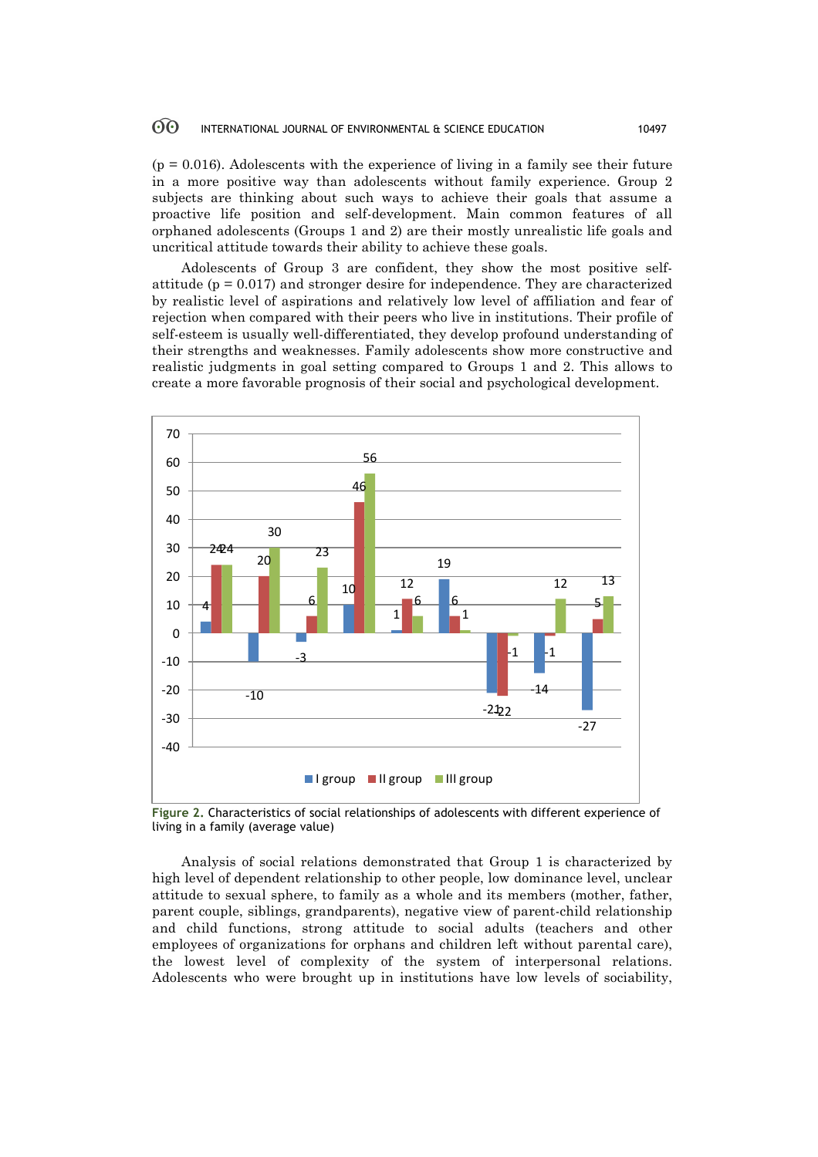$(p = 0.016)$ . Adolescents with the experience of living in a family see their future in a more positive way than adolescents without family experience. Group 2 subjects are thinking about such ways to achieve their goals that assume a proactive life position and self-development. Main common features of all orphaned adolescents (Groups 1 and 2) are their mostly unrealistic life goals and uncritical attitude towards their ability to achieve these goals.

Adolescents of Group 3 are confident, they show the most positive selfattitude ( $p = 0.017$ ) and stronger desire for independence. They are characterized by realistic level of aspirations and relatively low level of affiliation and fear of rejection when compared with their peers who live in institutions. Their profile of self-esteem is usually well-differentiated, they develop profound understanding of their strengths and weaknesses. Family adolescents show more constructive and realistic judgments in goal setting compared to Groups 1 and 2. This allows to create a more favorable prognosis of their social and psychological development.



**Figure 2.** Characteristics of social relationships of adolescents with different experience of living in a family (average value)

Analysis of social relations demonstrated that Group 1 is characterized by high level of dependent relationship to other people, low dominance level, unclear attitude to sexual sphere, to family as a whole and its members (mother, father, parent couple, siblings, grandparents), negative view of parent-child relationship and child functions, strong attitude to social adults (teachers and other employees of organizations for orphans and children left without parental care), the lowest level of complexity of the system of interpersonal relations. Adolescents who were brought up in institutions have low levels of sociability,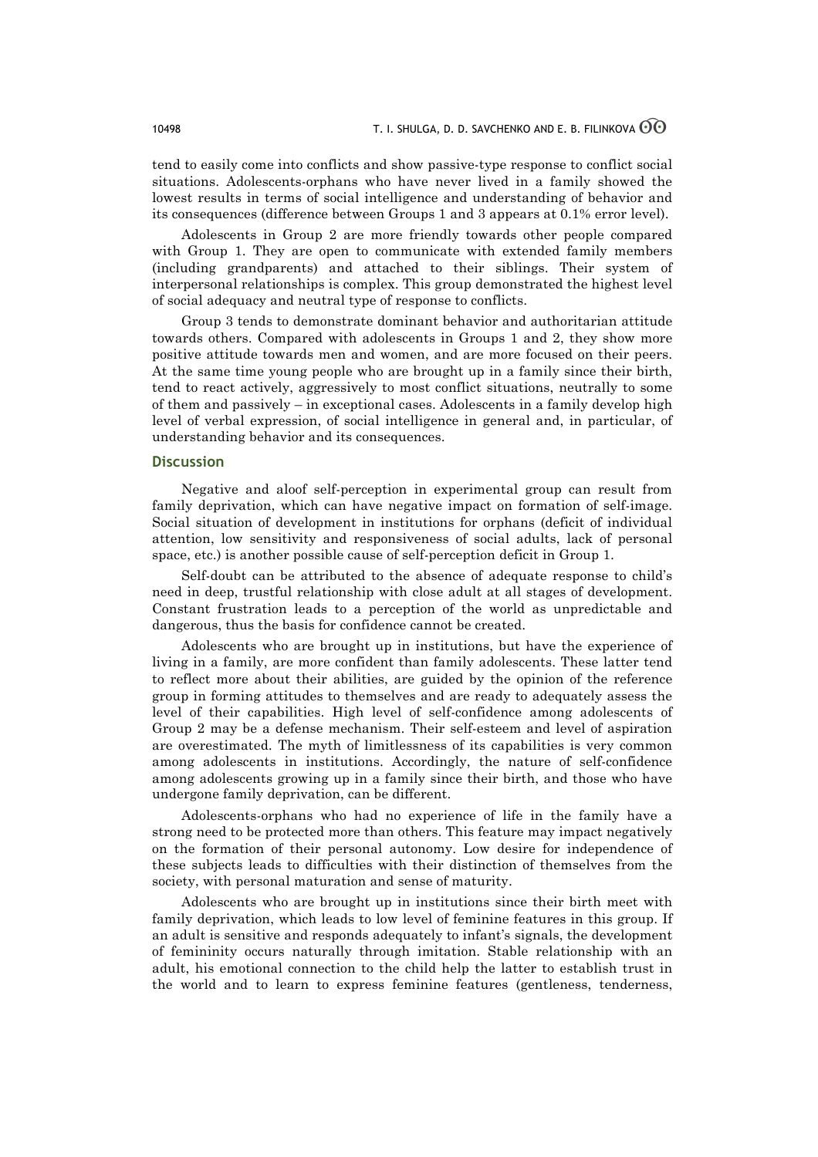tend to easily come into conflicts and show passive-type response to conflict social situations. Adolescents-orphans who have never lived in a family showed the lowest results in terms of social intelligence and understanding of behavior and its consequences (difference between Groups 1 and 3 appears at 0.1% error level).

Adolescents in Group 2 are more friendly towards other people compared with Group 1. They are open to communicate with extended family members (including grandparents) and attached to their siblings. Their system of interpersonal relationships is complex. This group demonstrated the highest level of social adequacy and neutral type of response to conflicts.

Group 3 tends to demonstrate dominant behavior and authoritarian attitude towards others. Compared with adolescents in Groups 1 and 2, they show more positive attitude towards men and women, and are more focused on their peers. At the same time young people who are brought up in a family since their birth, tend to react actively, aggressively to most conflict situations, neutrally to some of them and passively – in exceptional cases. Adolescents in a family develop high level of verbal expression, of social intelligence in general and, in particular, of understanding behavior and its consequences.

### **Discussion**

Negative and aloof self-perception in experimental group can result from family deprivation, which can have negative impact on formation of self-image. Social situation of development in institutions for orphans (deficit of individual attention, low sensitivity and responsiveness of social adults, lack of personal space, etc.) is another possible cause of self-perception deficit in Group 1.

Self-doubt can be attributed to the absence of adequate response to child's need in deep, trustful relationship with close adult at all stages of development. Constant frustration leads to a perception of the world as unpredictable and dangerous, thus the basis for confidence cannot be created.

Adolescents who are brought up in institutions, but have the experience of living in a family, are more confident than family adolescents. These latter tend to reflect more about their abilities, are guided by the opinion of the reference group in forming attitudes to themselves and are ready to adequately assess the level of their capabilities. High level of self-confidence among adolescents of Group 2 may be a defense mechanism. Their self-esteem and level of aspiration are overestimated. The myth of limitlessness of its capabilities is very common among adolescents in institutions. Accordingly, the nature of self-confidence among adolescents growing up in a family since their birth, and those who have undergone family deprivation, can be different.

Adolescents-orphans who had no experience of life in the family have a strong need to be protected more than others. This feature may impact negatively on the formation of their personal autonomy. Low desire for independence of these subjects leads to difficulties with their distinction of themselves from the society, with personal maturation and sense of maturity.

Adolescents who are brought up in institutions since their birth meet with family deprivation, which leads to low level of feminine features in this group. If an adult is sensitive and responds adequately to infant's signals, the development of femininity occurs naturally through imitation. Stable relationship with an adult, his emotional connection to the child help the latter to establish trust in the world and to learn to express feminine features (gentleness, tenderness,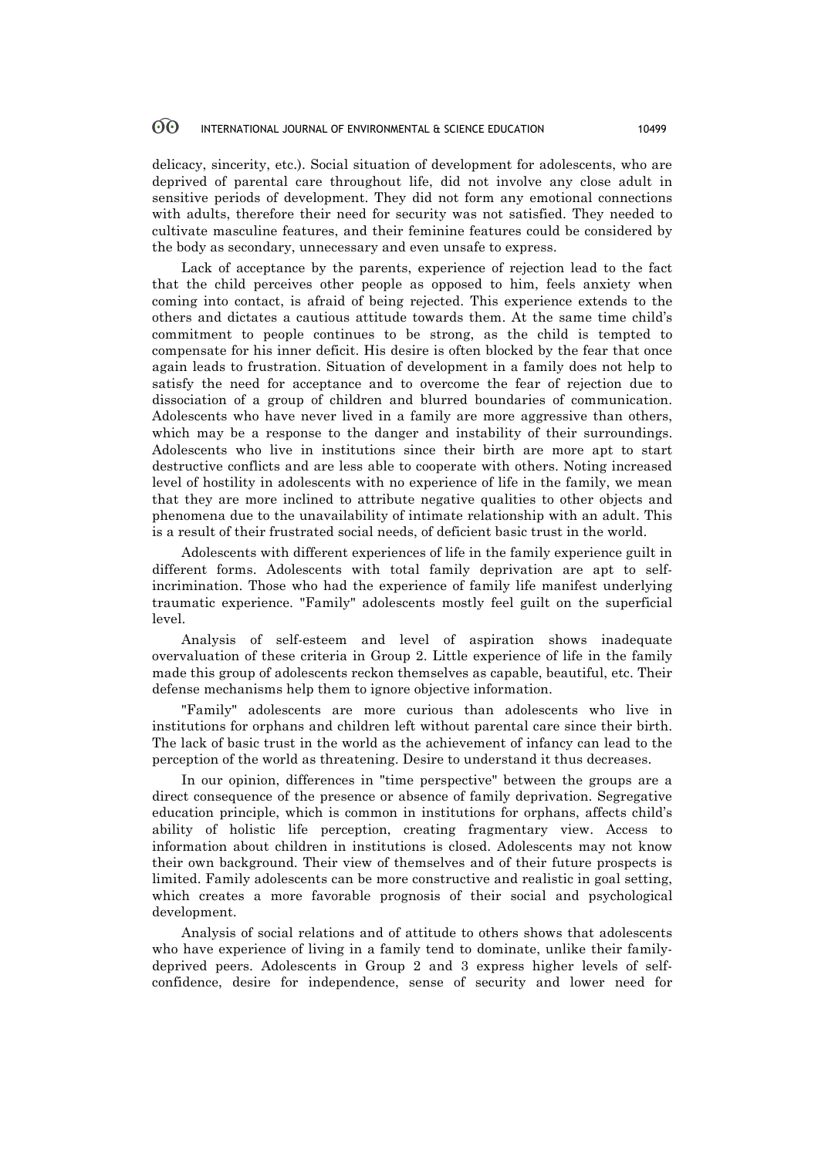delicacy, sincerity, etc.). Social situation of development for adolescents, who are deprived of parental care throughout life, did not involve any close adult in sensitive periods of development. They did not form any emotional connections with adults, therefore their need for security was not satisfied. They needed to cultivate masculine features, and their feminine features could be considered by the body as secondary, unnecessary and even unsafe to express.

Lack of acceptance by the parents, experience of rejection lead to the fact that the child perceives other people as opposed to him, feels anxiety when coming into contact, is afraid of being rejected. This experience extends to the others and dictates a cautious attitude towards them. At the same time child's commitment to people continues to be strong, as the child is tempted to compensate for his inner deficit. His desire is often blocked by the fear that once again leads to frustration. Situation of development in a family does not help to satisfy the need for acceptance and to overcome the fear of rejection due to dissociation of a group of children and blurred boundaries of communication. Adolescents who have never lived in a family are more aggressive than others, which may be a response to the danger and instability of their surroundings. Adolescents who live in institutions since their birth are more apt to start destructive conflicts and are less able to cooperate with others. Noting increased level of hostility in adolescents with no experience of life in the family, we mean that they are more inclined to attribute negative qualities to other objects and phenomena due to the unavailability of intimate relationship with an adult. This is a result of their frustrated social needs, of deficient basic trust in the world.

Adolescents with different experiences of life in the family experience guilt in different forms. Adolescents with total family deprivation are apt to selfincrimination. Those who had the experience of family life manifest underlying traumatic experience. "Family" adolescents mostly feel guilt on the superficial level.

Analysis of self-esteem and level of aspiration shows inadequate overvaluation of these criteria in Group 2. Little experience of life in the family made this group of adolescents reckon themselves as capable, beautiful, etc. Their defense mechanisms help them to ignore objective information.

"Family" adolescents are more curious than adolescents who live in institutions for orphans and children left without parental care since their birth. The lack of basic trust in the world as the achievement of infancy can lead to the perception of the world as threatening. Desire to understand it thus decreases.

In our opinion, differences in "time perspective" between the groups are a direct consequence of the presence or absence of family deprivation. Segregative education principle, which is common in institutions for orphans, affects child's ability of holistic life perception, creating fragmentary view. Access to information about children in institutions is closed. Adolescents may not know their own background. Their view of themselves and of their future prospects is limited. Family adolescents can be more constructive and realistic in goal setting, which creates a more favorable prognosis of their social and psychological development.

Analysis of social relations and of attitude to others shows that adolescents who have experience of living in a family tend to dominate, unlike their familydeprived peers. Adolescents in Group 2 and 3 express higher levels of selfconfidence, desire for independence, sense of security and lower need for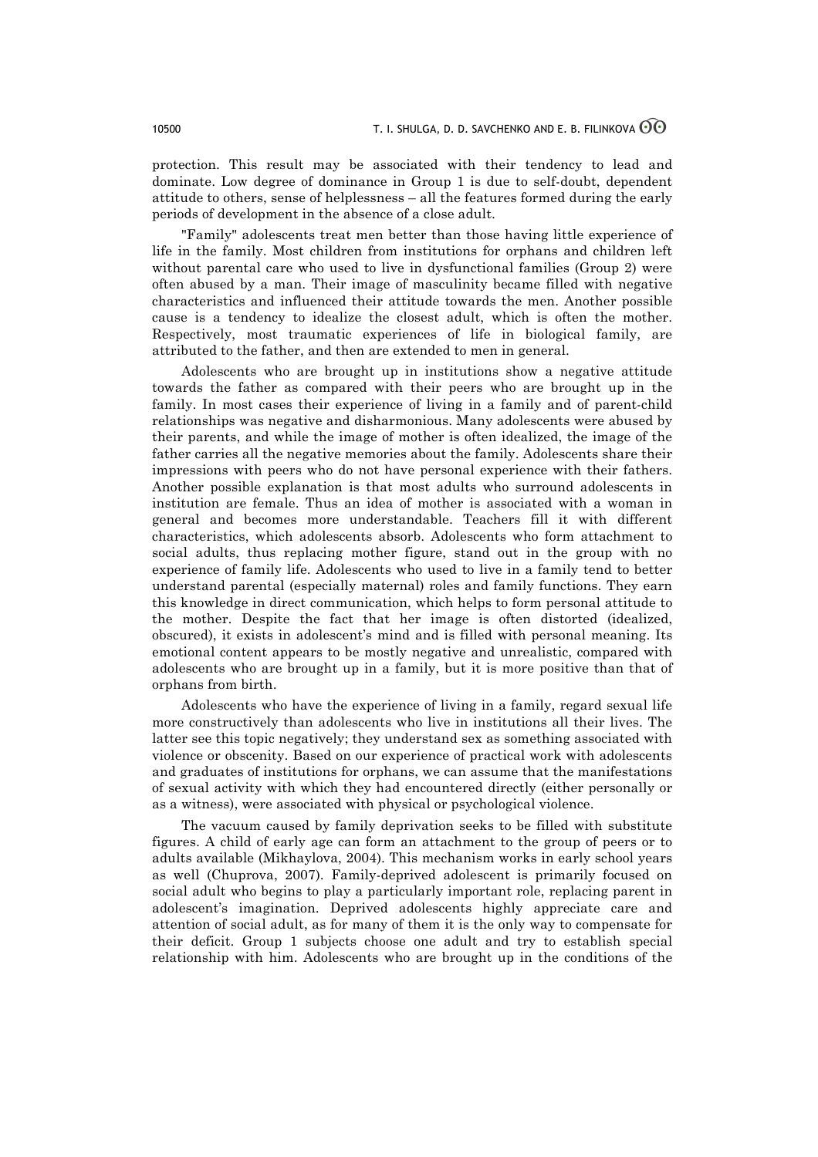protection. This result may be associated with their tendency to lead and dominate. Low degree of dominance in Group 1 is due to self-doubt, dependent attitude to others, sense of helplessness – all the features formed during the early periods of development in the absence of a close adult.

"Family" adolescents treat men better than those having little experience of life in the family. Most children from institutions for orphans and children left without parental care who used to live in dysfunctional families (Group 2) were often abused by a man. Their image of masculinity became filled with negative characteristics and influenced their attitude towards the men. Another possible cause is a tendency to idealize the closest adult, which is often the mother. Respectively, most traumatic experiences of life in biological family, are attributed to the father, and then are extended to men in general.

Adolescents who are brought up in institutions show a negative attitude towards the father as compared with their peers who are brought up in the family. In most cases their experience of living in a family and of parent-child relationships was negative and disharmonious. Many adolescents were abused by their parents, and while the image of mother is often idealized, the image of the father carries all the negative memories about the family. Adolescents share their impressions with peers who do not have personal experience with their fathers. Another possible explanation is that most adults who surround adolescents in institution are female. Thus an idea of mother is associated with a woman in general and becomes more understandable. Teachers fill it with different characteristics, which adolescents absorb. Adolescents who form attachment to social adults, thus replacing mother figure, stand out in the group with no experience of family life. Adolescents who used to live in a family tend to better understand parental (especially maternal) roles and family functions. They earn this knowledge in direct communication, which helps to form personal attitude to the mother. Despite the fact that her image is often distorted (idealized, obscured), it exists in adolescent's mind and is filled with personal meaning. Its emotional content appears to be mostly negative and unrealistic, compared with adolescents who are brought up in a family, but it is more positive than that of orphans from birth.

Adolescents who have the experience of living in a family, regard sexual life more constructively than adolescents who live in institutions all their lives. The latter see this topic negatively; they understand sex as something associated with violence or obscenity. Based on our experience of practical work with adolescents and graduates of institutions for orphans, we can assume that the manifestations of sexual activity with which they had encountered directly (either personally or as a witness), were associated with physical or psychological violence.

The vacuum caused by family deprivation seeks to be filled with substitute figures. A child of early age can form an attachment to the group of peers or to adults available (Mikhaylova, 2004). This mechanism works in early school years as well (Chuprova, 2007). Family-deprived adolescent is primarily focused on social adult who begins to play a particularly important role, replacing parent in adolescent's imagination. Deprived adolescents highly appreciate care and attention of social adult, as for many of them it is the only way to compensate for their deficit. Group 1 subjects choose one adult and try to establish special relationship with him. Adolescents who are brought up in the conditions of the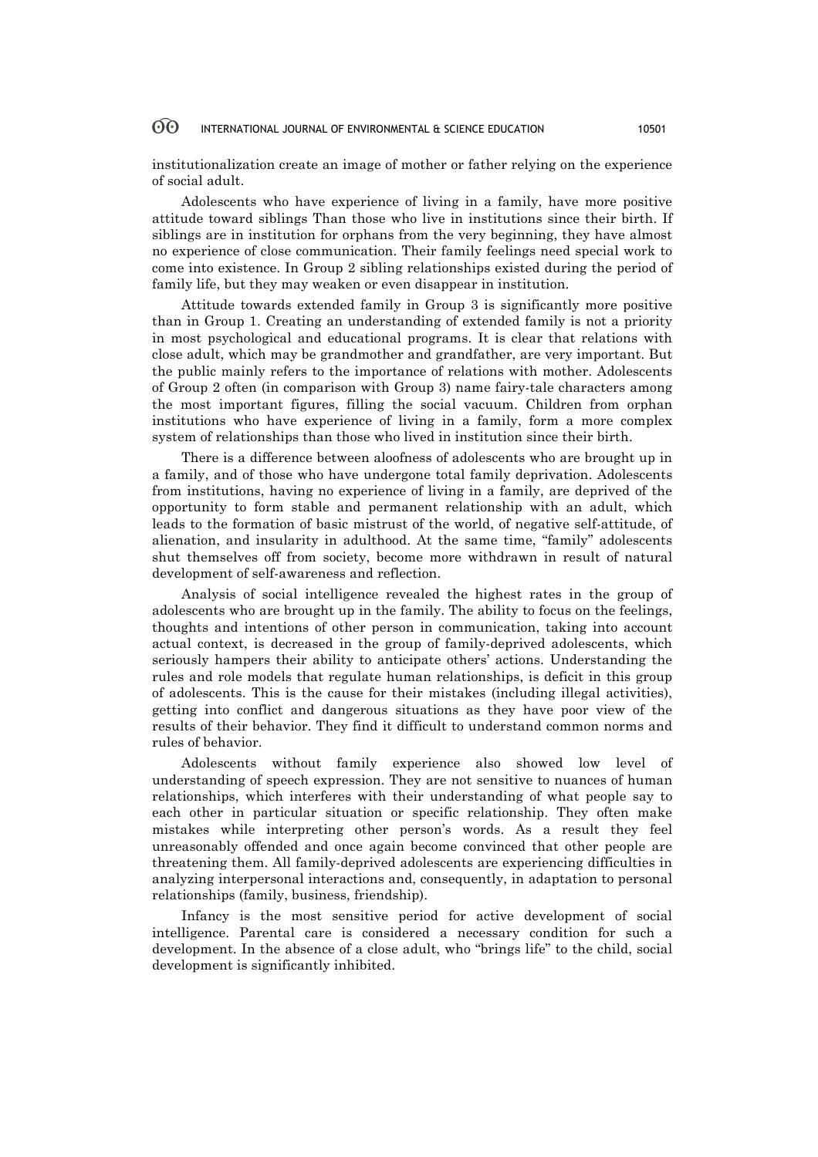institutionalization create an image of mother or father relying on the experience of social adult.

Adolescents who have experience of living in a family, have more positive attitude toward siblings Than those who live in institutions since their birth. If siblings are in institution for orphans from the very beginning, they have almost no experience of close communication. Their family feelings need special work to come into existence. In Group 2 sibling relationships existed during the period of family life, but they may weaken or even disappear in institution.

Attitude towards extended family in Group 3 is significantly more positive than in Group 1. Creating an understanding of extended family is not a priority in most psychological and educational programs. It is clear that relations with close adult, which may be grandmother and grandfather, are very important. But the public mainly refers to the importance of relations with mother. Adolescents of Group 2 often (in comparison with Group 3) name fairy-tale characters among the most important figures, filling the social vacuum. Children from orphan institutions who have experience of living in a family, form a more complex system of relationships than those who lived in institution since their birth.

There is a difference between aloofness of adolescents who are brought up in a family, and of those who have undergone total family deprivation. Adolescents from institutions, having no experience of living in a family, are deprived of the opportunity to form stable and permanent relationship with an adult, which leads to the formation of basic mistrust of the world, of negative self-attitude, of alienation, and insularity in adulthood. At the same time, "family" adolescents shut themselves off from society, become more withdrawn in result of natural development of self-awareness and reflection.

Analysis of social intelligence revealed the highest rates in the group of adolescents who are brought up in the family. The ability to focus on the feelings, thoughts and intentions of other person in communication, taking into account actual context, is decreased in the group of family-deprived adolescents, which seriously hampers their ability to anticipate others' actions. Understanding the rules and role models that regulate human relationships, is deficit in this group of adolescents. This is the cause for their mistakes (including illegal activities), getting into conflict and dangerous situations as they have poor view of the results of their behavior. They find it difficult to understand common norms and rules of behavior.

Adolescents without family experience also showed low level of understanding of speech expression. They are not sensitive to nuances of human relationships, which interferes with their understanding of what people say to each other in particular situation or specific relationship. They often make mistakes while interpreting other person's words. As a result they feel unreasonably offended and once again become convinced that other people are threatening them. All family-deprived adolescents are experiencing difficulties in analyzing interpersonal interactions and, consequently, in adaptation to personal relationships (family, business, friendship).

Infancy is the most sensitive period for active development of social intelligence. Parental care is considered a necessary condition for such a development. In the absence of a close adult, who "brings life" to the child, social development is significantly inhibited.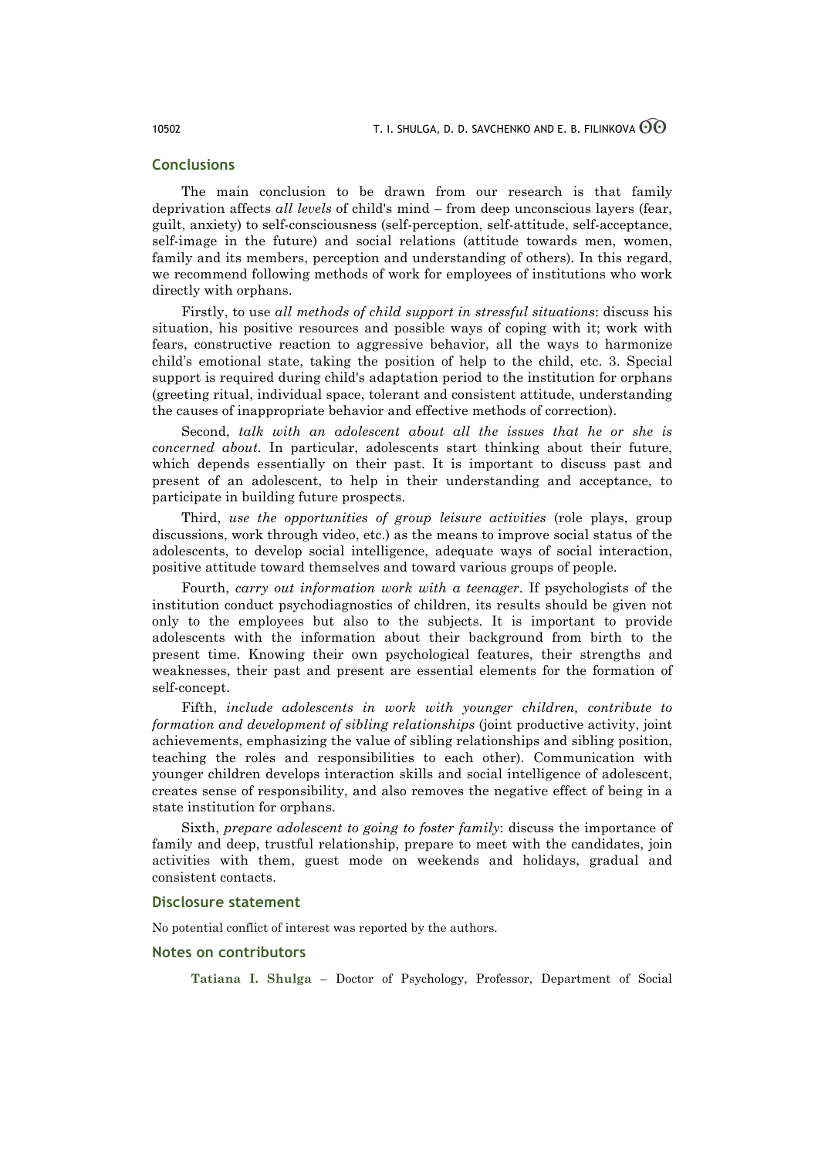# **Conclusions**

The main conclusion to be drawn from our research is that family deprivation affects *all levels* of child's mind – from deep unconscious layers (fear, guilt, anxiety) to self-consciousness (self-perception, self-attitude, self-acceptance, self-image in the future) and social relations (attitude towards men, women, family and its members, perception and understanding of others). In this regard, we recommend following methods of work for employees of institutions who work directly with orphans.

Firstly, to use *all methods of child support in stressful situations*: discuss his situation, his positive resources and possible ways of coping with it; work with fears, constructive reaction to aggressive behavior, all the ways to harmonize child's emotional state, taking the position of help to the child, etc. 3. Special support is required during child's adaptation period to the institution for orphans (greeting ritual, individual space, tolerant and consistent attitude, understanding the causes of inappropriate behavior and effective methods of correction).

Second, *talk with an adolescent about all the issues that he or she is concerned about.* In particular, adolescents start thinking about their future, which depends essentially on their past. It is important to discuss past and present of an adolescent, to help in their understanding and acceptance, to participate in building future prospects.

Third, *use the opportunities of group leisure activities* (role plays, group discussions, work through video, etc.) as the means to improve social status of the adolescents, to develop social intelligence, adequate ways of social interaction, positive attitude toward themselves and toward various groups of people.

Fourth, *carry out information work with a teenager*. If psychologists of the institution conduct psychodiagnostics of children, its results should be given not only to the employees but also to the subjects. It is important to provide adolescents with the information about their background from birth to the present time. Knowing their own psychological features, their strengths and weaknesses, their past and present are essential elements for the formation of self-concept.

Fifth, *include adolescents in work with younger children, contribute to formation and development of sibling relationships* (joint productive activity, joint achievements, emphasizing the value of sibling relationships and sibling position, teaching the roles and responsibilities to each other). Communication with younger children develops interaction skills and social intelligence of adolescent, creates sense of responsibility, and also removes the negative effect of being in a state institution for orphans.

Sixth, *prepare adolescent to going to foster family*: discuss the importance of family and deep, trustful relationship, prepare to meet with the candidates, join activities with them, guest mode on weekends and holidays, gradual and consistent contacts.

### **Disclosure statement**

No potential conflict of interest was reported by the authors.

### **Notes on contributors**

**Tatiana I. Shulga** – Doctor of Psychology, Professor, Department of Social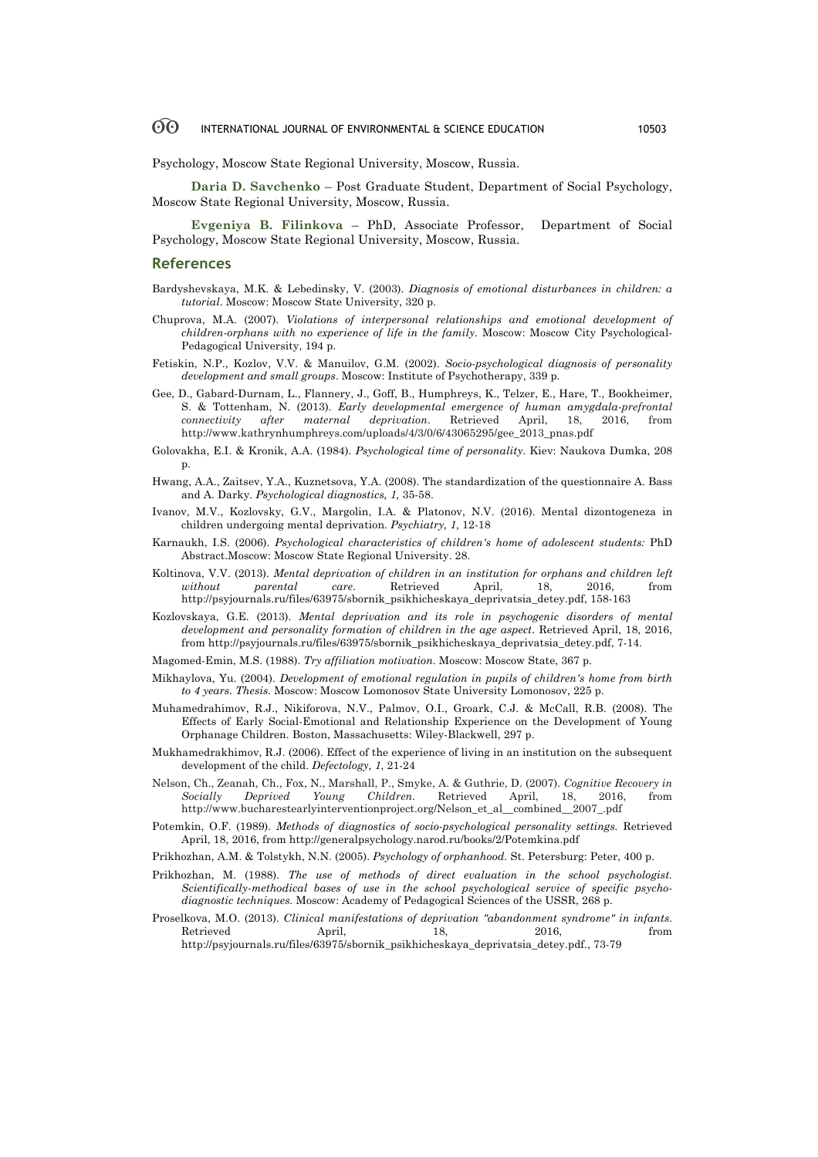Psychology, Moscow State Regional University, Moscow, Russia.

**Daria D. Savchenko** – Post Graduate Student, Department of Social Psychology, Moscow State Regional University, Moscow, Russia.

**Evgeniya B. Filinkova** – PhD, Associate Professor, Department of Social Psychology, Moscow State Regional University, Moscow, Russia.

### **References**

- Bardyshevskaya, M.K. & Lebedinsky, V. (2003). *Diagnosis of emotional disturbances in children: a tutorial*. Moscow: Moscow State University, 320 p.
- Chuprova, M.A. (2007). *Violations of interpersonal relationships and emotional development of children-orphans with no experience of life in the family.* Moscow: Moscow City Psychological-Pedagogical University, 194 p.
- Fetiskin, N.P., Kozlov, V.V. & Manuilov, G.M. (2002). *Socio-psychological diagnosis of personality development and small groups*. Moscow: Institute of Psychotherapy, 339 p.
- Gee, D., Gabard-Durnam, L., Flannery, J., Goff, B., Humphreys, K., Telzer, E., Hare, T., Bookheimer, S. & Tottenham, N. (2013). *Early developmental emergence of human amygdala-prefrontal connectivity after maternal deprivation*. Retrieved April, 18, 2016, from http://www.kathrynhumphreys.com/uploads/4/3/0/6/43065295/gee\_2013\_pnas.pdf
- Golovakha, E.I. & Kronik, A.A. (1984). *Psychological time of personality*. Kiev: Naukova Dumka, 208 p.
- Hwang, A.A., Zaitsev, Y.A., Kuznetsova, Y.A. (2008). The standardization of the questionnaire A. Bass and A. Darky. *Psychological diagnostics, 1,* 35-58.
- Ivanov, M.V., Kozlovsky, G.V., Margolin, I.A. & Platonov, N.V. (2016). Mental dizontogeneza in children undergoing mental deprivation. *Psychiatry, 1,* 12-18
- Karnaukh, I.S. (2006). *Psychological characteristics of children's home of adolescent students:* PhD Abstract.Moscow: Moscow State Regional University. 28.
- Koltinova, V.V. (2013). *Mental deprivation of children in an institution for orphans and children left without parental care*. Retrieved April, 18, 2016, from http://psyjournals.ru/files/63975/sbornik\_psikhicheskaya\_deprivatsia\_detey.pdf, 158-163
- Kozlovskaya, G.E. (2013). *Mental deprivation and its role in psychogenic disorders of mental development and personality formation of children in the age aspect*. Retrieved April, 18, 2016, from http://psyjournals.ru/files/63975/sbornik\_psikhicheskaya\_deprivatsia\_detey.pdf, 7-14.
- Magomed-Emin, M.S. (1988). *Try affiliation motivation.* Moscow: Moscow State, 367 p.
- Mikhaylova, Yu. (2004). *Development of emotional regulation in pupils of children's home from birth to 4 years. Thesis.* Moscow: Moscow Lomonosov State University Lomonosov, 225 p.
- Muhamedrahimov, R.J., Nikiforova, N.V., Palmov, O.I., Groark, C.J. & McCall, R.B. (2008). The Effects of Early Social-Emotional and Relationship Experience on the Development of Young Orphanage Children. Boston, Massachusetts: Wiley-Blackwell, 297 p.
- Mukhamedrakhimov, R.J. (2006). Effect of the experience of living in an institution on the subsequent development of the child. *Defectology, 1*, 21-24
- Nelson, Ch., Zeanah, Ch., Fox, N., Marshall, P., Smyke, A. & Guthrie, D. (2007). *Cognitive Recovery in Socially Deprived Young Children.* Retrieved April, 18, 2016, from http://www.bucharestearlyinterventionproject.org/Nelson\_et\_al\_\_combined\_\_2007\_.pdf
- Potemkin, O.F. (1989). *Methods of diagnostics of socio-psychological personality settings.* Retrieved April, 18, 2016, from http://generalpsychology.narod.ru/books/2/Potemkina.pdf
- Prikhozhan, A.M. & Tolstykh, N.N. (2005). *Psychology of orphanhood.* St. Petersburg: Peter, 400 p.
- Prikhozhan, M. (1988). *The use of methods of direct evaluation in the school psychologist. Scientifically-methodical bases of use in the school psychological service of specific psychodiagnostic techniques.* Moscow: Academy of Pedagogical Sciences of the USSR, 268 p.
- Proselkova, M.O. (2013). *Clinical manifestations of deprivation "abandonment syndrome" in infants*. Retrieved April, 18, 2016, from http://psyjournals.ru/files/63975/sbornik\_psikhicheskaya\_deprivatsia\_detey.pdf., 73-79